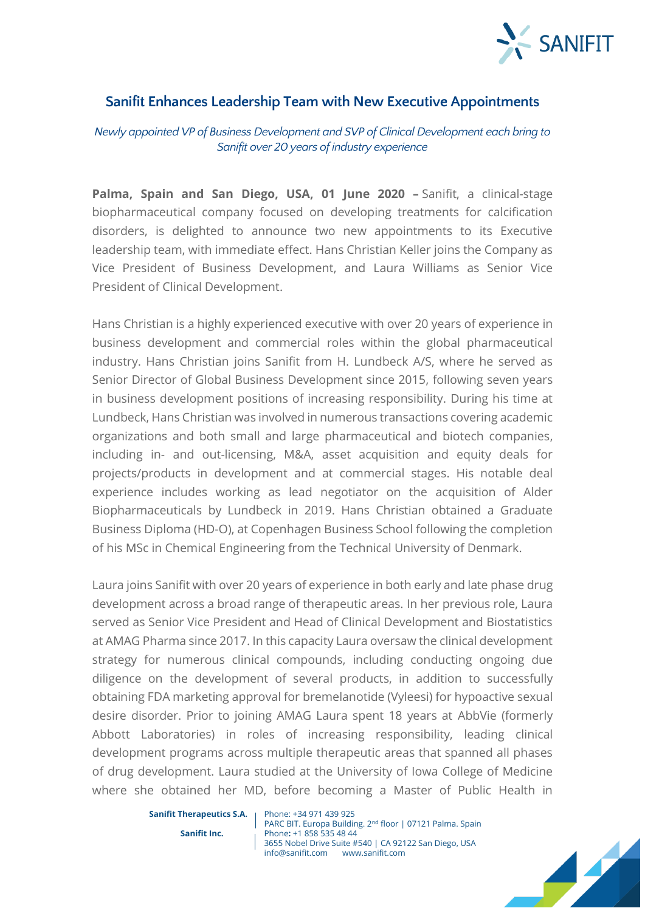

## **Sanifit Enhances Leadership Team with New Executive Appointments**

*Newly appointed VP of Business Development and SVP of Clinical Development each bring to Sanifit over 20 years of industry experience*

**Palma, Spain and San Diego, USA, 01 June 2020 –** Sanifit, a clinical-stage biopharmaceutical company focused on developing treatments for calcification disorders, is delighted to announce two new appointments to its Executive leadership team, with immediate effect. Hans Christian Keller joins the Company as Vice President of Business Development, and Laura Williams as Senior Vice President of Clinical Development.

Hans Christian is a highly experienced executive with over 20 years of experience in business development and commercial roles within the global pharmaceutical industry. Hans Christian joins Sanifit from H. Lundbeck A/S, where he served as Senior Director of Global Business Development since 2015, following seven years in business development positions of increasing responsibility. During his time at Lundbeck, Hans Christian was involved in numerous transactions covering academic organizations and both small and large pharmaceutical and biotech companies, including in- and out-licensing, M&A, asset acquisition and equity deals for projects/products in development and at commercial stages. His notable deal experience includes working as lead negotiator on the acquisition of Alder Biopharmaceuticals by Lundbeck in 2019. Hans Christian obtained a Graduate Business Diploma (HD-O), at Copenhagen Business School following the completion of his MSc in Chemical Engineering from the Technical University of Denmark.

Laura joins Sanifit with over 20 years of experience in both early and late phase drug development across a broad range of therapeutic areas. In her previous role, Laura served as Senior Vice President and Head of Clinical Development and Biostatistics at AMAG Pharma since 2017. In this capacity Laura oversaw the clinical development strategy for numerous clinical compounds, including conducting ongoing due diligence on the development of several products, in addition to successfully obtaining FDA marketing approval for bremelanotide (Vyleesi) for hypoactive sexual desire disorder. Prior to joining AMAG Laura spent 18 years at AbbVie (formerly Abbott Laboratories) in roles of increasing responsibility, leading clinical development programs across multiple therapeutic areas that spanned all phases of drug development. Laura studied at the University of Iowa College of Medicine where she obtained her MD, before becoming a Master of Public Health in

**Sanifit Therapeutics S.A.** Phone: +34 971 439 925

PARC BIT. Europa Building. 2<sup>nd</sup> floor | 07121 Palma. Spain **Sanifit Inc.** Phone: +1 858 535 48 44 3655 Nobel Drive Suite #540 | CA 92122 San Diego, USA info@sanifit.com www.sanifit.com